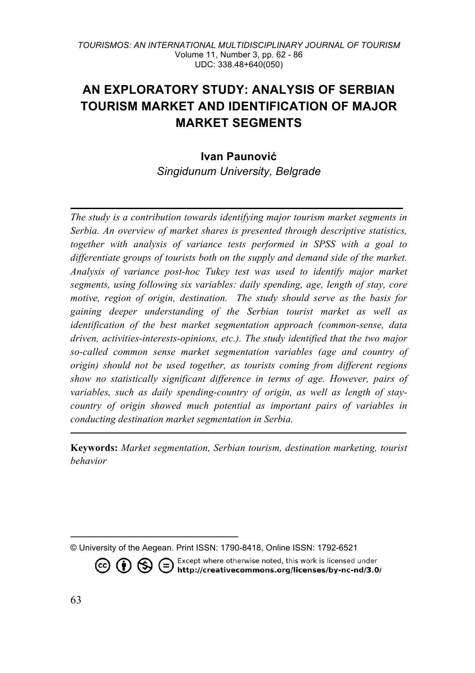#### *TOURISMOS: AN INTERNATIONAL MULTIDISCIPLINARY JOURNAL OF TOURISM* Volume 11, Number 3, pp. 62 - 86 UDC: 338.48+640(050)

# **AN EXPLORATORY STUDY: ANALYSIS OF SERBIAN TOURISM MARKET AND IDENTIFICATION OF MAJOR MARKET SEGMENTS**

# **Ivan Paunović** *Singidunum University, Belgrade*

*The study is a contribution towards identifying major tourism market segments in Serbia. An overview of market shares is presented through descriptive statistics, together with analysis of variance tests performed in SPSS with a goal to differentiate groups of tourists both on the supply and demand side of the market. Analysis of variance post-hoc Tukey test was used to identify major market segments, using following six variables: daily spending, age, length of stay, core motive, region of origin, destination. The study should serve as the basis for gaining deeper understanding of the Serbian tourist market as well as identification of the best market segmentation approach (common-sense, data driven, activities-interests-opinions, etc.). The study identified that the two major so-called common sense market segmentation variables (age and country of origin) should not be used together, as tourists coming from different regions show no statistically significant difference in terms of age. However, pairs of variables, such as daily spending-country of origin, as well as length of staycountry of origin showed much potential as important pairs of variables in conducting destination market segmentation in Serbia.*

**Keywords:** *Market segmentation, Serbian tourism, destination marketing, tourist behavior*

**CO i**  $\bigodot$  **s**  $\bigodot$  **i** Except where otherwise noted, this work is licensed under **http://creativecommons.org/licenses/by-nc-nd/3.0/** 

<sup>©</sup> University of the Aegean. Print ISSN: 1790-8418, Online ISSN: 1792-6521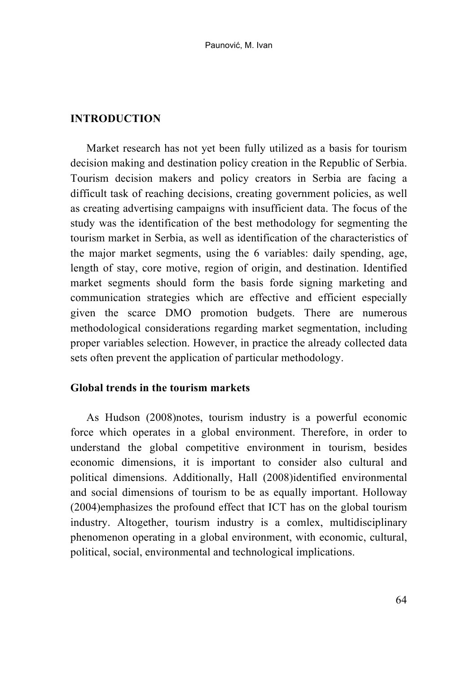#### **INTRODUCTION**

Market research has not yet been fully utilized as a basis for tourism decision making and destination policy creation in the Republic of Serbia. Tourism decision makers and policy creators in Serbia are facing a difficult task of reaching decisions, creating government policies, as well as creating advertising campaigns with insufficient data. The focus of the study was the identification of the best methodology for segmenting the tourism market in Serbia, as well as identification of the characteristics of the major market segments, using the 6 variables: daily spending, age, length of stay, core motive, region of origin, and destination. Identified market segments should form the basis forde signing marketing and communication strategies which are effective and efficient especially given the scarce DMO promotion budgets. There are numerous methodological considerations regarding market segmentation, including proper variables selection. However, in practice the already collected data sets often prevent the application of particular methodology.

# **Global trends in the tourism markets**

As Hudson (2008)notes, tourism industry is a powerful economic force which operates in a global environment. Therefore, in order to understand the global competitive environment in tourism, besides economic dimensions, it is important to consider also cultural and political dimensions. Additionally, Hall (2008)identified environmental and social dimensions of tourism to be as equally important. Holloway (2004)emphasizes the profound effect that ICT has on the global tourism industry. Altogether, tourism industry is a comlex, multidisciplinary phenomenon operating in a global environment, with economic, cultural, political, social, environmental and technological implications.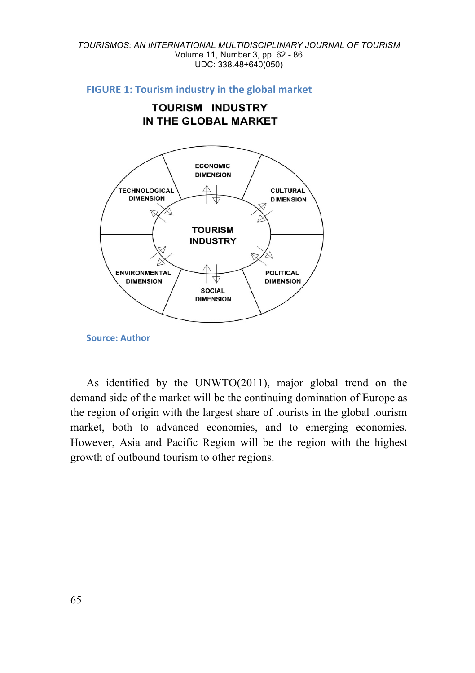#### *TOURISMOS: AN INTERNATIONAL MULTIDISCIPLINARY JOURNAL OF TOURISM* Volume 11, Number 3, pp. 62 - 86 UDC: 338.48+640(050)

#### **FIGURE 1: Tourism industry in the global market**

**TOURISM INDUSTRY** IN THE GLOBAL MARKET



**Source: Author**

As identified by the UNWTO(2011), major global trend on the demand side of the market will be the continuing domination of Europe as the region of origin with the largest share of tourists in the global tourism market, both to advanced economies, and to emerging economies. However, Asia and Pacific Region will be the region with the highest growth of outbound tourism to other regions.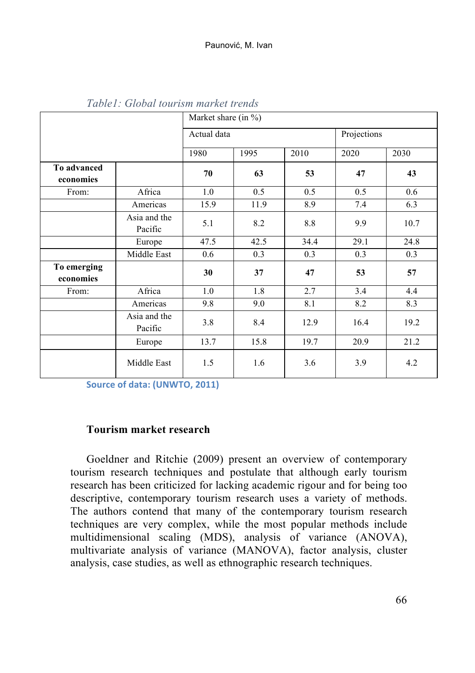|                          |                         | Market share (in $%$ ) |      |      |      |             |  |  |
|--------------------------|-------------------------|------------------------|------|------|------|-------------|--|--|
|                          |                         | Actual data            |      |      |      | Projections |  |  |
|                          |                         | 1980                   | 1995 | 2010 | 2020 | 2030        |  |  |
| To advanced<br>economies |                         | 70                     | 63   | 53   | 47   | 43          |  |  |
| From:                    | Africa                  | 1.0                    | 0.5  | 0.5  | 0.5  | 0.6         |  |  |
|                          | Americas                | 15.9                   | 11.9 | 8.9  | 7.4  | 6.3         |  |  |
|                          | Asia and the<br>Pacific | 5.1                    | 8.2  | 8.8  | 9.9  | 10.7        |  |  |
|                          | Europe                  | 47.5                   | 42.5 | 34.4 | 29.1 | 24.8        |  |  |
|                          | Middle East             | 0.6                    | 0.3  | 0.3  | 0.3  | 0.3         |  |  |
| To emerging<br>economies |                         | 30                     | 37   | 47   | 53   | 57          |  |  |
| From:                    | Africa                  | 1.0                    | 1.8  | 2.7  | 3.4  | 4.4         |  |  |
|                          | Americas                | 9.8                    | 9.0  | 8.1  | 8.2  | 8.3         |  |  |
|                          | Asia and the<br>Pacific | 3.8                    | 8.4  | 12.9 | 16.4 | 19.2        |  |  |
|                          | Europe                  | 13.7                   | 15.8 | 19.7 | 20.9 | 21.2        |  |  |
|                          | Middle East             | 1.5                    | 1.6  | 3.6  | 3.9  | 4.2         |  |  |

*Table1: Global tourism market trends*

**Source of data: (UNWTO, 2011)** 

### **Tourism market research**

Goeldner and Ritchie (2009) present an overview of contemporary tourism research techniques and postulate that although early tourism research has been criticized for lacking academic rigour and for being too descriptive, contemporary tourism research uses a variety of methods. The authors contend that many of the contemporary tourism research techniques are very complex, while the most popular methods include multidimensional scaling (MDS), analysis of variance (ANOVA), multivariate analysis of variance (MANOVA), factor analysis, cluster analysis, case studies, as well as ethnographic research techniques.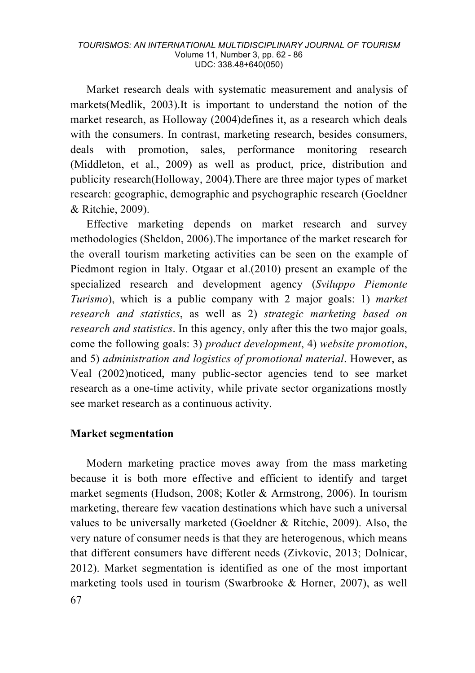Market research deals with systematic measurement and analysis of markets(Medlik, 2003).It is important to understand the notion of the market research, as Holloway (2004)defines it, as a research which deals with the consumers. In contrast, marketing research, besides consumers, deals with promotion, sales, performance monitoring research (Middleton, et al., 2009) as well as product, price, distribution and publicity research(Holloway, 2004).There are three major types of market research: geographic, demographic and psychographic research (Goeldner & Ritchie, 2009).

Effective marketing depends on market research and survey methodologies (Sheldon, 2006).The importance of the market research for the overall tourism marketing activities can be seen on the example of Piedmont region in Italy. Otgaar et al.(2010) present an example of the specialized research and development agency (*Sviluppo Piemonte Turismo*), which is a public company with 2 major goals: 1) *market research and statistics*, as well as 2) *strategic marketing based on research and statistics*. In this agency, only after this the two major goals, come the following goals: 3) *product development*, 4) *website promotion*, and 5) *administration and logistics of promotional material*. However, as Veal (2002)noticed, many public-sector agencies tend to see market research as a one-time activity, while private sector organizations mostly see market research as a continuous activity.

#### **Market segmentation**

67 Modern marketing practice moves away from the mass marketing because it is both more effective and efficient to identify and target market segments (Hudson, 2008; Kotler & Armstrong, 2006). In tourism marketing, thereare few vacation destinations which have such a universal values to be universally marketed (Goeldner & Ritchie, 2009). Also, the very nature of consumer needs is that they are heterogenous, which means that different consumers have different needs (Zivkovic, 2013; Dolnicar, 2012). Market segmentation is identified as one of the most important marketing tools used in tourism (Swarbrooke & Horner, 2007), as well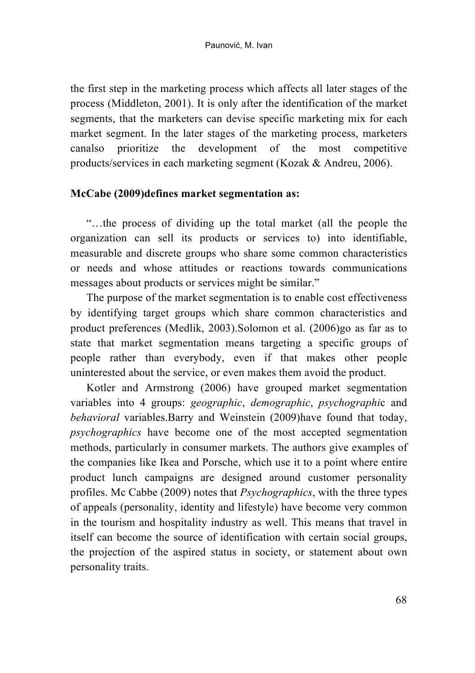the first step in the marketing process which affects all later stages of the process (Middleton, 2001). It is only after the identification of the market segments, that the marketers can devise specific marketing mix for each market segment. In the later stages of the marketing process, marketers canalso prioritize the development of the most competitive products/services in each marketing segment (Kozak & Andreu, 2006).

### **McCabe (2009)defines market segmentation as:**

"…the process of dividing up the total market (all the people the organization can sell its products or services to) into identifiable, measurable and discrete groups who share some common characteristics or needs and whose attitudes or reactions towards communications messages about products or services might be similar."

The purpose of the market segmentation is to enable cost effectiveness by identifying target groups which share common characteristics and product preferences (Medlik, 2003).Solomon et al. (2006)go as far as to state that market segmentation means targeting a specific groups of people rather than everybody, even if that makes other people uninterested about the service, or even makes them avoid the product.

Kotler and Armstrong (2006) have grouped market segmentation variables into 4 groups: *geographic*, *demographic*, *psychographi*c and *behavioral* variables.Barry and Weinstein (2009)have found that today, *psychographics* have become one of the most accepted segmentation methods, particularly in consumer markets. The authors give examples of the companies like Ikea and Porsche, which use it to a point where entire product lunch campaigns are designed around customer personality profiles. Mc Cabbe (2009) notes that *Psychographics*, with the three types of appeals (personality, identity and lifestyle) have become very common in the tourism and hospitality industry as well. This means that travel in itself can become the source of identification with certain social groups, the projection of the aspired status in society, or statement about own personality traits.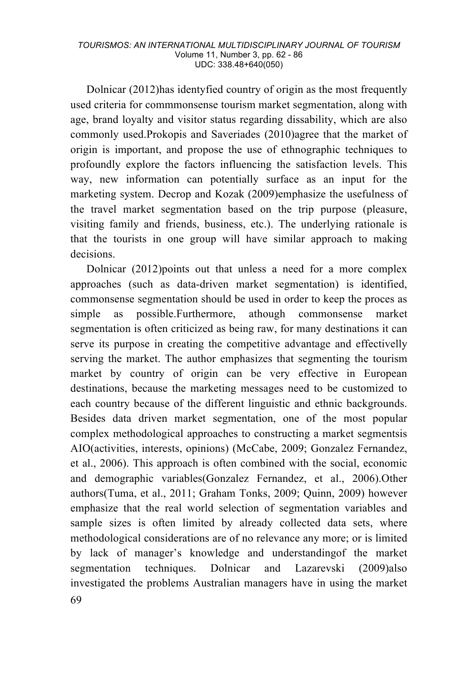Dolnicar (2012)has identyfied country of origin as the most frequently used criteria for commmonsense tourism market segmentation, along with age, brand loyalty and visitor status regarding dissability, which are also commonly used.Prokopis and Saveriades (2010)agree that the market of origin is important, and propose the use of ethnographic techniques to profoundly explore the factors influencing the satisfaction levels. This way, new information can potentially surface as an input for the marketing system. Decrop and Kozak (2009)emphasize the usefulness of the travel market segmentation based on the trip purpose (pleasure, visiting family and friends, business, etc.). The underlying rationale is that the tourists in one group will have similar approach to making decisions.

69 Dolnicar (2012)points out that unless a need for a more complex approaches (such as data-driven market segmentation) is identified, commonsense segmentation should be used in order to keep the proces as simple as possible.Furthermore, athough commonsense market segmentation is often criticized as being raw, for many destinations it can serve its purpose in creating the competitive advantage and effectivelly serving the market. The author emphasizes that segmenting the tourism market by country of origin can be very effective in European destinations, because the marketing messages need to be customized to each country because of the different linguistic and ethnic backgrounds. Besides data driven market segmentation, one of the most popular complex methodological approaches to constructing a market segmentsis AIO(activities, interests, opinions) (McCabe, 2009; Gonzalez Fernandez, et al., 2006). This approach is often combined with the social, economic and demographic variables(Gonzalez Fernandez, et al., 2006).Other authors(Tuma, et al., 2011; Graham Tonks, 2009; Quinn, 2009) however emphasize that the real world selection of segmentation variables and sample sizes is often limited by already collected data sets, where methodological considerations are of no relevance any more; or is limited by lack of manager's knowledge and understandingof the market segmentation techniques. Dolnicar and Lazarevski (2009)also investigated the problems Australian managers have in using the market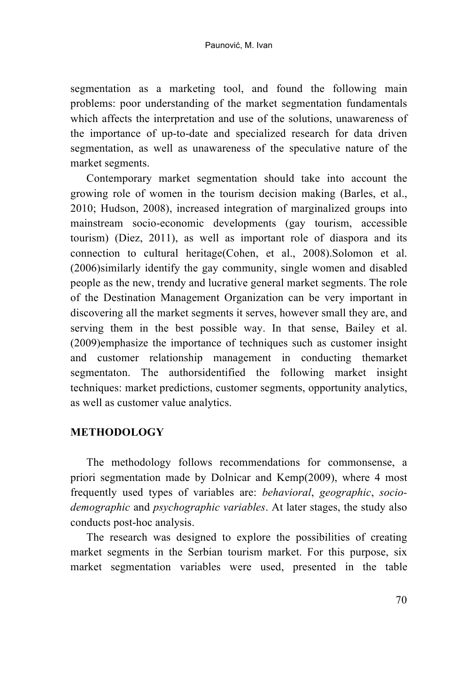segmentation as a marketing tool, and found the following main problems: poor understanding of the market segmentation fundamentals which affects the interpretation and use of the solutions, unawareness of the importance of up-to-date and specialized research for data driven segmentation, as well as unawareness of the speculative nature of the market segments.

Contemporary market segmentation should take into account the growing role of women in the tourism decision making (Barles, et al., 2010; Hudson, 2008), increased integration of marginalized groups into mainstream socio-economic developments (gay tourism, accessible tourism) (Diez, 2011), as well as important role of diaspora and its connection to cultural heritage(Cohen, et al., 2008).Solomon et al. (2006)similarly identify the gay community, single women and disabled people as the new, trendy and lucrative general market segments. The role of the Destination Management Organization can be very important in discovering all the market segments it serves, however small they are, and serving them in the best possible way. In that sense, Bailey et al. (2009)emphasize the importance of techniques such as customer insight and customer relationship management in conducting themarket segmentaton. The authorsidentified the following market insight techniques: market predictions, customer segments, opportunity analytics, as well as customer value analytics.

### **METHODOLOGY**

The methodology follows recommendations for commonsense, a priori segmentation made by Dolnicar and Kemp(2009), where 4 most frequently used types of variables are: *behavioral*, *geographic*, *sociodemographic* and *psychographic variables*. At later stages, the study also conducts post-hoc analysis.

The research was designed to explore the possibilities of creating market segments in the Serbian tourism market. For this purpose, six market segmentation variables were used, presented in the table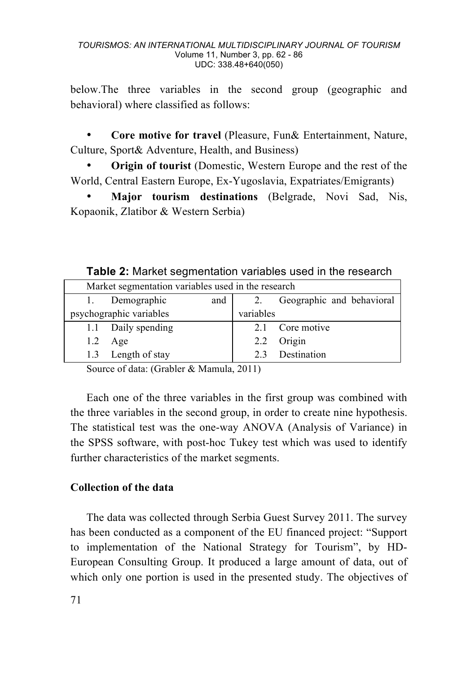below.The three variables in the second group (geographic and behavioral) where classified as follows:

• **Core motive for travel** (Pleasure, Fun& Entertainment, Nature, Culture, Sport& Adventure, Health, and Business)

**Origin of tourist** (Domestic, Western Europe and the rest of the World, Central Eastern Europe, Ex-Yugoslavia, Expatriates/Emigrants)

• **Major tourism destinations** (Belgrade, Novi Sad, Nis, Kopaonik, Zlatibor & Western Serbia)

**Table 2:** Market segmentation variables used in the research

| Market segmentation variables used in the research |                         |     |           |                           |  |  |
|----------------------------------------------------|-------------------------|-----|-----------|---------------------------|--|--|
|                                                    | Demographic             | and | 2.        | Geographic and behavioral |  |  |
|                                                    | psychographic variables |     | variables |                           |  |  |
|                                                    | 1.1 Daily spending      |     |           | 2.1 Core motive           |  |  |
| 1.2                                                | Age                     |     | 2.2       | Origin                    |  |  |
|                                                    | 1.3 Length of stay      |     |           | Destination               |  |  |

Source of data: (Grabler & Mamula, 2011)

Each one of the three variables in the first group was combined with the three variables in the second group, in order to create nine hypothesis. The statistical test was the one-way ANOVA (Analysis of Variance) in the SPSS software, with post-hoc Tukey test which was used to identify further characteristics of the market segments.

# **Collection of the data**

The data was collected through Serbia Guest Survey 2011. The survey has been conducted as a component of the EU financed project: "Support to implementation of the National Strategy for Tourism", by HD-European Consulting Group. It produced a large amount of data, out of which only one portion is used in the presented study. The objectives of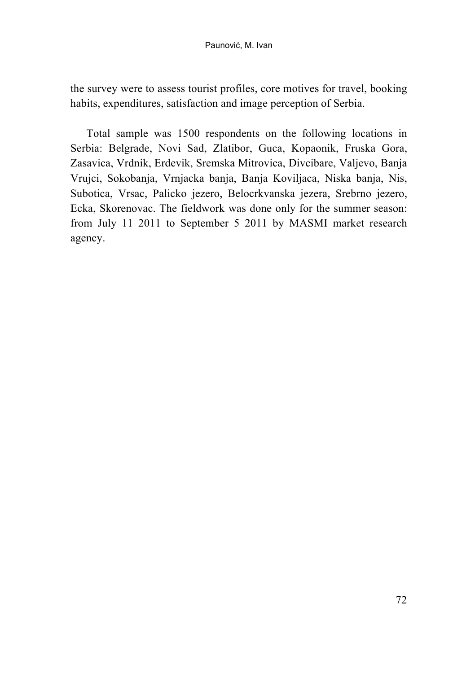the survey were to assess tourist profiles, core motives for travel, booking habits, expenditures, satisfaction and image perception of Serbia.

Total sample was 1500 respondents on the following locations in Serbia: Belgrade, Novi Sad, Zlatibor, Guca, Kopaonik, Fruska Gora, Zasavica, Vrdnik, Erdevik, Sremska Mitrovica, Divcibare, Valjevo, Banja Vrujci, Sokobanja, Vrnjacka banja, Banja Koviljaca, Niska banja, Nis, Subotica, Vrsac, Palicko jezero, Belocrkvanska jezera, Srebrno jezero, Ecka, Skorenovac. The fieldwork was done only for the summer season: from July 11 2011 to September 5 2011 by MASMI market research agency.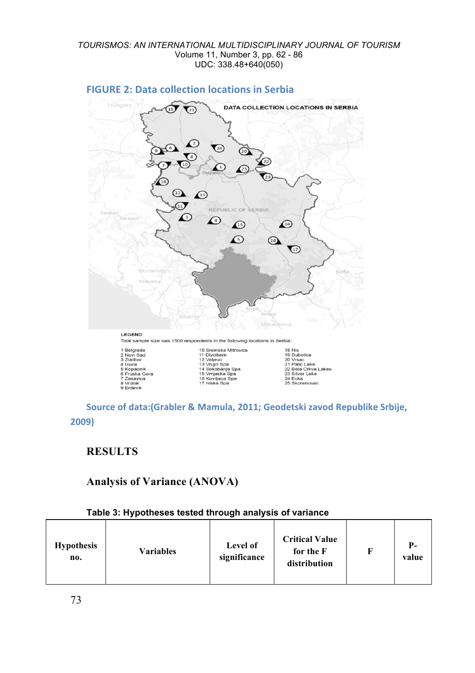

### **FIGURE 2: Data collection locations in Serbia**

Source of data:(Grabler & Mamula, 2011; Geodetski zavod Republike Srbije, **2009)**

# **RESULTS**

# **Analysis of Variance (ANOVA)**

#### **Table 3: Hypotheses tested through analysis of variance**

| <b>Hypothesis</b><br><b>Variables</b><br>no. | Level of<br>significance | <b>Critical Value</b><br>for the F<br>distribution |  | Р-<br>value |
|----------------------------------------------|--------------------------|----------------------------------------------------|--|-------------|
|----------------------------------------------|--------------------------|----------------------------------------------------|--|-------------|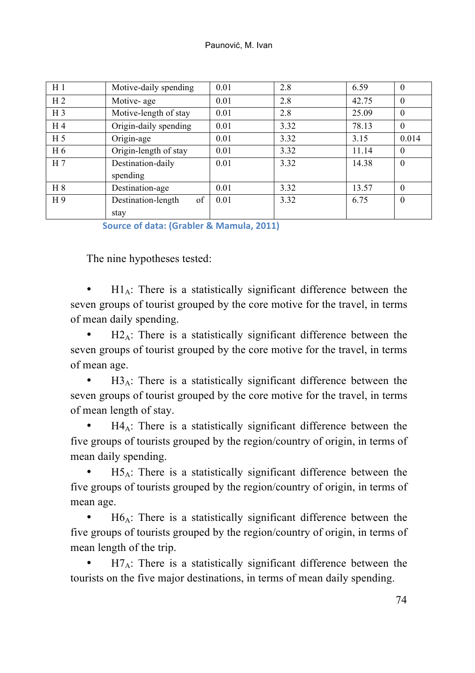| H <sub>1</sub> | Motive-daily spending    | 0.01 | 2.8  | 6.59  | $\Omega$ |
|----------------|--------------------------|------|------|-------|----------|
| H <sub>2</sub> | Motive- age              | 0.01 | 2.8  | 42.75 | $\Omega$ |
| H <sub>3</sub> | Motive-length of stay    | 0.01 | 2.8  | 25.09 | $\Omega$ |
| H <sub>4</sub> | Origin-daily spending    | 0.01 | 3.32 | 78.13 | $\theta$ |
| H <sub>5</sub> | Origin-age               | 0.01 | 3.32 | 3.15  | 0.014    |
| H 6            | Origin-length of stay    | 0.01 | 3.32 | 11.14 | $\theta$ |
| H <sub>7</sub> | Destination-daily        | 0.01 | 3.32 | 14.38 | $\Omega$ |
|                | spending                 |      |      |       |          |
| H 8            | Destination-age          | 0.01 | 3.32 | 13.57 | $\Omega$ |
| H9             | of<br>Destination-length | 0.01 | 3.32 | 6.75  | $\Omega$ |
|                | stay                     |      |      |       |          |

**Source of data: (Grabler & Mamula, 2011)** 

The nine hypotheses tested:

 $H1_A$ : There is a statistically significant difference between the seven groups of tourist grouped by the core motive for the travel, in terms of mean daily spending.

 $H2_A$ : There is a statistically significant difference between the seven groups of tourist grouped by the core motive for the travel, in terms of mean age.

 $H3_A$ : There is a statistically significant difference between the seven groups of tourist grouped by the core motive for the travel, in terms of mean length of stay.

 $H4_A$ : There is a statistically significant difference between the five groups of tourists grouped by the region/country of origin, in terms of mean daily spending.

 $H5_A$ : There is a statistically significant difference between the five groups of tourists grouped by the region/country of origin, in terms of mean age.

 $H6_A$ : There is a statistically significant difference between the five groups of tourists grouped by the region/country of origin, in terms of mean length of the trip.

 $H7_A$ : There is a statistically significant difference between the tourists on the five major destinations, in terms of mean daily spending.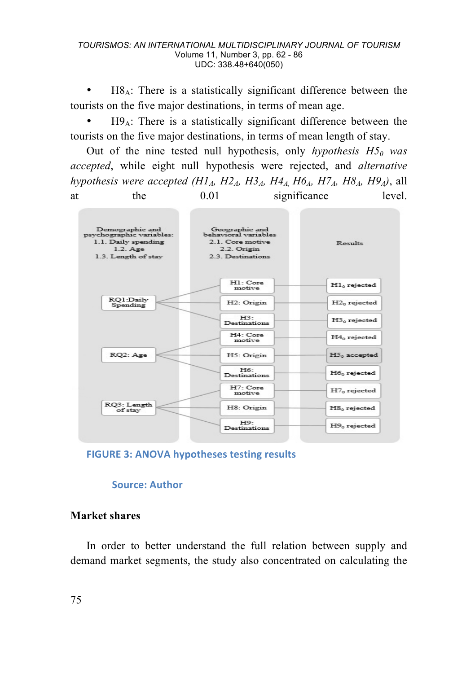#### *TOURISMOS: AN INTERNATIONAL MULTIDISCIPLINARY JOURNAL OF TOURISM* Volume 11, Number 3, pp. 62 - 86 UDC: 338.48+640(050)

 $H8_A$ : There is a statistically significant difference between the tourists on the five major destinations, in terms of mean age.

 $H9_A$ : There is a statistically significant difference between the tourists on the five major destinations, in terms of mean length of stay.

Out of the nine tested null hypothesis, only *hypothesis H50 was accepted*, while eight null hypothesis were rejected, and *alternative hypothesis were accepted*  $(H1_A, H2_A, H3_A, H4_A, H6_A, H7_A, H8_A, H9_A)$ *, all* at the 0.01 significance level.



**FIGURE 3: ANOVA hypotheses testing results** 

#### **Source: Author**

### **Market shares**

In order to better understand the full relation between supply and demand market segments, the study also concentrated on calculating the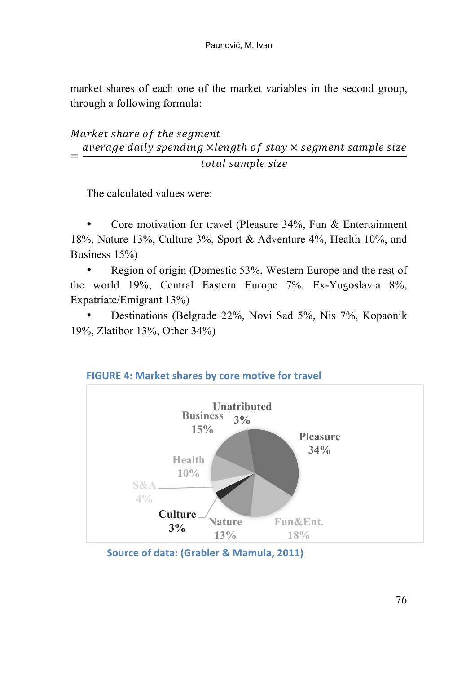market shares of each one of the market variables in the second group, through a following formula:

# Market share of the segment  $=\frac{average \ daily \ spending \times length \ of \ stay \times segment \ sample \ size}{time \ time}$  $total$  sample size

The calculated values were:

• Core motivation for travel (Pleasure 34%, Fun & Entertainment 18%, Nature 13%, Culture 3%, Sport & Adventure 4%, Health 10%, and Business 15%)

• Region of origin (Domestic 53%, Western Europe and the rest of the world 19%, Central Eastern Europe 7%, Ex-Yugoslavia 8%, Expatriate/Emigrant 13%)

• Destinations (Belgrade 22%, Novi Sad 5%, Nis 7%, Kopaonik 19%, Zlatibor 13%, Other 34%)



**FIGURE 4: Market shares by core motive for travel** 

**Source of data: (Grabler & Mamula, 2011)**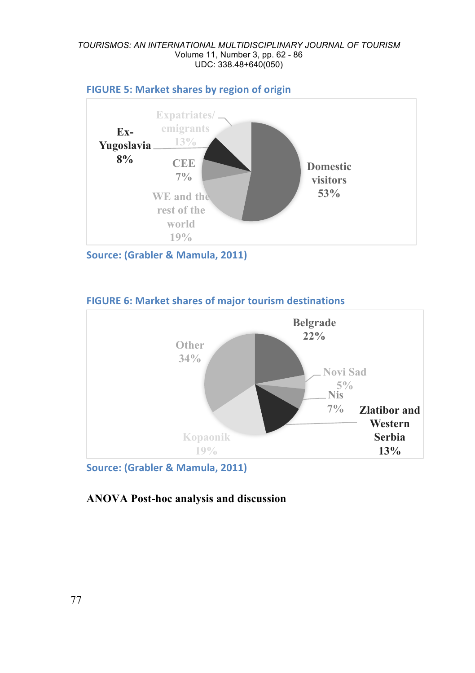#### *TOURISMOS: AN INTERNATIONAL MULTIDISCIPLINARY JOURNAL OF TOURISM* Volume 11, Number 3, pp. 62 - 86 UDC: 338.48+640(050)



**FIGURE 5: Market shares by region of origin** 

**Source: (Grabler & Mamula, 2011)** 

### **FIGURE 6: Market shares of major tourism destinations**



**Source: (Grabler & Mamula, 2011)** 

# **ANOVA Post-hoc analysis and discussion**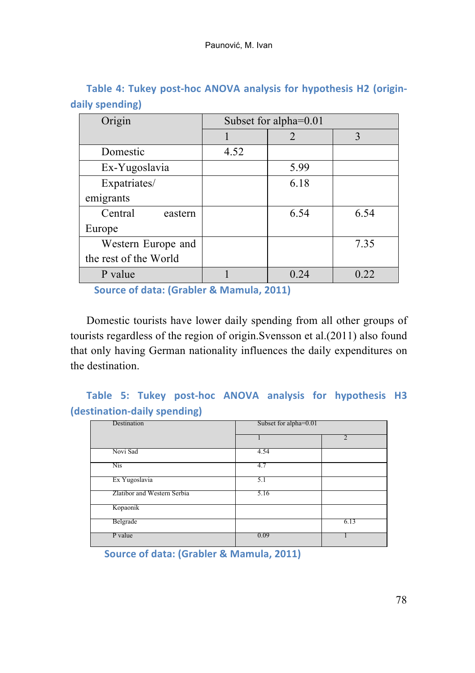| Origin                | Subset for alpha=0.01 |      |      |  |
|-----------------------|-----------------------|------|------|--|
|                       |                       |      | 3    |  |
| Domestic              | 4.52                  |      |      |  |
| Ex-Yugoslavia         |                       | 5.99 |      |  |
| Expatriates/          |                       | 6.18 |      |  |
| emigrants             |                       |      |      |  |
| Central<br>eastern    |                       | 6.54 | 6.54 |  |
| Europe                |                       |      |      |  |
| Western Europe and    |                       |      | 7.35 |  |
| the rest of the World |                       |      |      |  |
| P value               |                       | 0.24 | 0.22 |  |

Table 4: Tukey post-hoc ANOVA analysis for hypothesis H2 (origin**daily spending)**

**Source of data: (Grabler & Mamula, 2011)** 

Domestic tourists have lower daily spending from all other groups of tourists regardless of the region of origin.Svensson et al.(2011) also found that only having German nationality influences the daily expenditures on the destination.

# Table 5: Tukey post-hoc ANOVA analysis for hypothesis H3 **(destination-daily spending)**

| Destination                 | Subset for alpha=0.01 |      |  |  |  |
|-----------------------------|-----------------------|------|--|--|--|
|                             |                       |      |  |  |  |
| Novi Sad                    | 4.54                  |      |  |  |  |
| Nis                         | 4.7                   |      |  |  |  |
| Ex Yugoslavia               | 5.1                   |      |  |  |  |
| Zlatibor and Western Serbia | 5.16                  |      |  |  |  |
| Kopaonik                    |                       |      |  |  |  |
| Belgrade                    |                       | 6.13 |  |  |  |
| P value                     | 0.09                  |      |  |  |  |

**Source of data: (Grabler & Mamula, 2011)**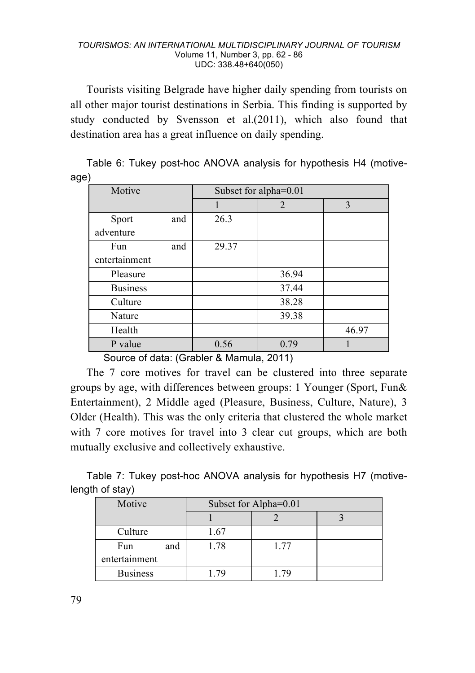Tourists visiting Belgrade have higher daily spending from tourists on all other major tourist destinations in Serbia. This finding is supported by study conducted by Svensson et al.(2011), which also found that destination area has a great influence on daily spending.

|      |  |  |  | Table 6: Tukey post-hoc ANOVA analysis for hypothesis H4 (motive- |  |
|------|--|--|--|-------------------------------------------------------------------|--|
| age) |  |  |  |                                                                   |  |

| Motive          |     |       | Subset for alpha=0.01 |       |
|-----------------|-----|-------|-----------------------|-------|
|                 |     |       | 2                     | 3     |
| Sport           | and | 26.3  |                       |       |
| adventure       |     |       |                       |       |
| Fun             | and | 29.37 |                       |       |
| entertainment   |     |       |                       |       |
| Pleasure        |     |       | 36.94                 |       |
| <b>Business</b> |     |       | 37.44                 |       |
| Culture         |     |       | 38.28                 |       |
| Nature          |     |       | 39.38                 |       |
| Health          |     |       |                       | 46.97 |
| P value         |     | 0.56  | 0.79                  |       |

Source of data: (Grabler & Mamula, 2011)

The 7 core motives for travel can be clustered into three separate groups by age, with differences between groups: 1 Younger (Sport, Fun& Entertainment), 2 Middle aged (Pleasure, Business, Culture, Nature), 3 Older (Health). This was the only criteria that clustered the whole market with 7 core motives for travel into 3 clear cut groups, which are both mutually exclusive and collectively exhaustive.

Table 7: Tukey post-hoc ANOVA analysis for hypothesis H7 (motivelength of stay)

| Motive          | Subset for Alpha=0.01 |      |  |  |  |
|-----------------|-----------------------|------|--|--|--|
|                 |                       |      |  |  |  |
| Culture         | 1.67                  |      |  |  |  |
| Fun<br>and      | 1.78                  | 1.77 |  |  |  |
| entertainment   |                       |      |  |  |  |
| <b>Business</b> |                       |      |  |  |  |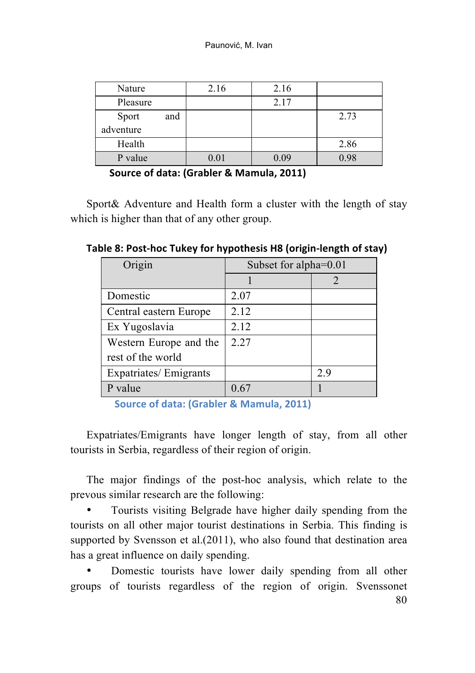| Nature       | 2.16 | 2.16 |      |
|--------------|------|------|------|
| Pleasure     |      | 2.17 |      |
| and<br>Sport |      |      | 2.73 |
| adventure    |      |      |      |
| Health       |      |      | 2.86 |
| P value      | 0.01 | 0.09 | 0.98 |

**Source of data: (Grabler & Mamula, 2011)** 

Sport& Adventure and Health form a cluster with the length of stay which is higher than that of any other group.

**Table 8: Post-hoc Tukey for hypothesis H8 (origin-length of stay)** 

| Origin                 | Subset for alpha=0.01 |     |  |  |
|------------------------|-----------------------|-----|--|--|
|                        |                       |     |  |  |
| Domestic               | 2.07                  |     |  |  |
| Central eastern Europe | 2.12                  |     |  |  |
| Ex Yugoslavia          | 2.12                  |     |  |  |
| Western Europe and the | 2.27                  |     |  |  |
| rest of the world      |                       |     |  |  |
| Expatriates/Emigrants  |                       | 2.9 |  |  |
| P value                | 0.67                  |     |  |  |

**Source of data: (Grabler & Mamula, 2011)** 

Expatriates/Emigrants have longer length of stay, from all other tourists in Serbia, regardless of their region of origin.

The major findings of the post-hoc analysis, which relate to the prevous similar research are the following:

• Tourists visiting Belgrade have higher daily spending from the tourists on all other major tourist destinations in Serbia. This finding is supported by Svensson et al.(2011), who also found that destination area has a great influence on daily spending.

80 Domestic tourists have lower daily spending from all other groups of tourists regardless of the region of origin. Svenssonet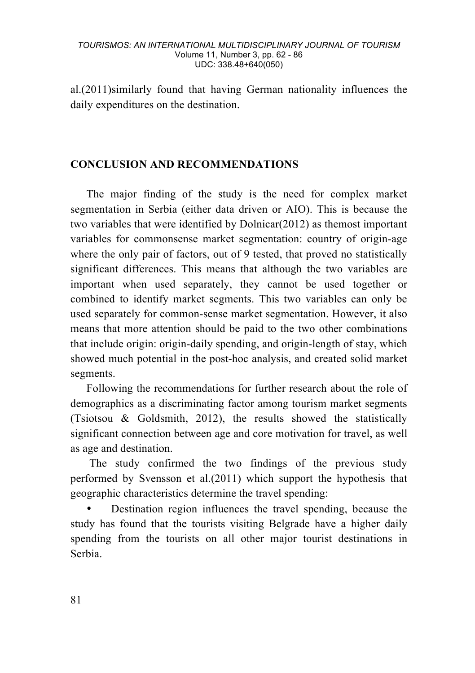al.(2011)similarly found that having German nationality influences the daily expenditures on the destination.

# **CONCLUSION AND RECOMMENDATIONS**

The major finding of the study is the need for complex market segmentation in Serbia (either data driven or AIO). This is because the two variables that were identified by Dolnicar(2012) as themost important variables for commonsense market segmentation: country of origin-age where the only pair of factors, out of 9 tested, that proved no statistically significant differences. This means that although the two variables are important when used separately, they cannot be used together or combined to identify market segments. This two variables can only be used separately for common-sense market segmentation. However, it also means that more attention should be paid to the two other combinations that include origin: origin-daily spending, and origin-length of stay, which showed much potential in the post-hoc analysis, and created solid market segments.

Following the recommendations for further research about the role of demographics as a discriminating factor among tourism market segments (Tsiotsou & Goldsmith, 2012), the results showed the statistically significant connection between age and core motivation for travel, as well as age and destination.

The study confirmed the two findings of the previous study performed by Svensson et al.(2011) which support the hypothesis that geographic characteristics determine the travel spending:

• Destination region influences the travel spending, because the study has found that the tourists visiting Belgrade have a higher daily spending from the tourists on all other major tourist destinations in Serbia.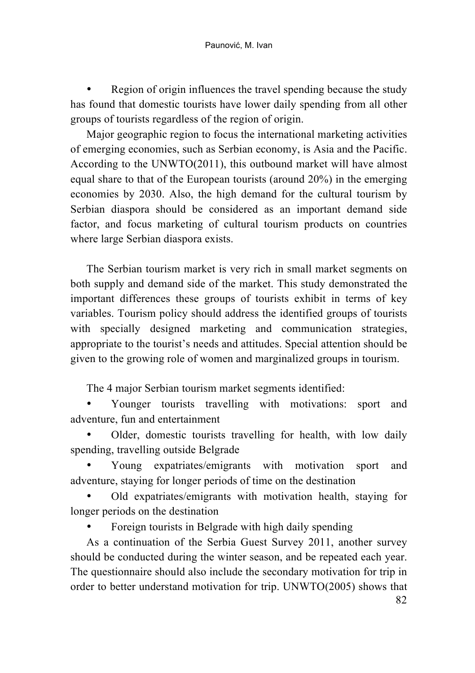Region of origin influences the travel spending because the study has found that domestic tourists have lower daily spending from all other groups of tourists regardless of the region of origin.

Major geographic region to focus the international marketing activities of emerging economies, such as Serbian economy, is Asia and the Pacific. According to the UNWTO(2011), this outbound market will have almost equal share to that of the European tourists (around 20%) in the emerging economies by 2030. Also, the high demand for the cultural tourism by Serbian diaspora should be considered as an important demand side factor, and focus marketing of cultural tourism products on countries where large Serbian diaspora exists.

The Serbian tourism market is very rich in small market segments on both supply and demand side of the market. This study demonstrated the important differences these groups of tourists exhibit in terms of key variables. Tourism policy should address the identified groups of tourists with specially designed marketing and communication strategies, appropriate to the tourist's needs and attitudes. Special attention should be given to the growing role of women and marginalized groups in tourism.

The 4 major Serbian tourism market segments identified:

• Younger tourists travelling with motivations: sport and adventure, fun and entertainment

• Older, domestic tourists travelling for health, with low daily spending, travelling outside Belgrade

• Young expatriates/emigrants with motivation sport and adventure, staying for longer periods of time on the destination

• Old expatriates/emigrants with motivation health, staying for longer periods on the destination

• Foreign tourists in Belgrade with high daily spending

82 As a continuation of the Serbia Guest Survey 2011, another survey should be conducted during the winter season, and be repeated each year. The questionnaire should also include the secondary motivation for trip in order to better understand motivation for trip. UNWTO(2005) shows that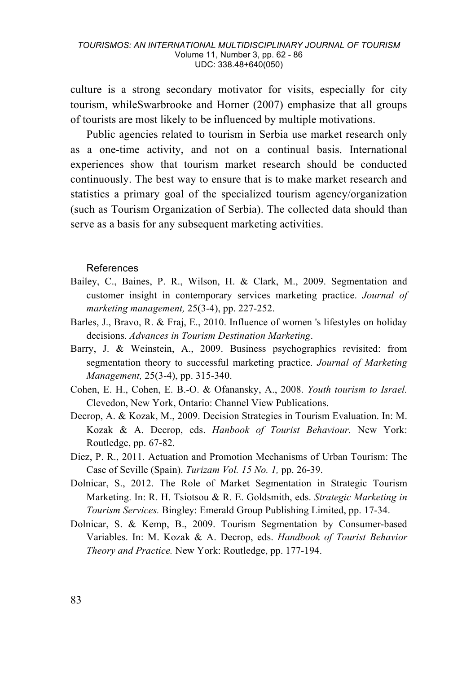culture is a strong secondary motivator for visits, especially for city tourism, whileSwarbrooke and Horner (2007) emphasize that all groups of tourists are most likely to be influenced by multiple motivations.

Public agencies related to tourism in Serbia use market research only as a one-time activity, and not on a continual basis. International experiences show that tourism market research should be conducted continuously. The best way to ensure that is to make market research and statistics a primary goal of the specialized tourism agency/organization (such as Tourism Organization of Serbia). The collected data should than serve as a basis for any subsequent marketing activities.

#### References

- Bailey, C., Baines, P. R., Wilson, H. & Clark, M., 2009. Segmentation and customer insight in contemporary services marketing practice. *Journal of marketing management,* 25(3-4), pp. 227-252.
- Barles, J., Bravo, R. & Fraj, E., 2010. Influence of women 's lifestyles on holiday decisions. *Advances in Tourism Destination Marketing*.
- Barry, J. & Weinstein, A., 2009. Business psychographics revisited: from segmentation theory to successful marketing practice. *Journal of Marketing Management,* 25(3-4), pp. 315-340.
- Cohen, E. H., Cohen, E. B.-O. & Ofanansky, A., 2008. *Youth tourism to Israel.*  Clevedon, New York, Ontario: Channel View Publications.
- Decrop, A. & Kozak, M., 2009. Decision Strategies in Tourism Evaluation. In: M. Kozak & A. Decrop, eds. *Hanbook of Tourist Behaviour.* New York: Routledge, pp. 67-82.
- Diez, P. R., 2011. Actuation and Promotion Mechanisms of Urban Tourism: The Case of Seville (Spain). *Turizam Vol. 15 No. 1,* pp. 26-39.
- Dolnicar, S., 2012. The Role of Market Segmentation in Strategic Tourism Marketing. In: R. H. Tsiotsou & R. E. Goldsmith, eds. *Strategic Marketing in Tourism Services.* Bingley: Emerald Group Publishing Limited, pp. 17-34.
- Dolnicar, S. & Kemp, B., 2009. Tourism Segmentation by Consumer-based Variables. In: M. Kozak & A. Decrop, eds. *Handbook of Tourist Behavior Theory and Practice.* New York: Routledge, pp. 177-194.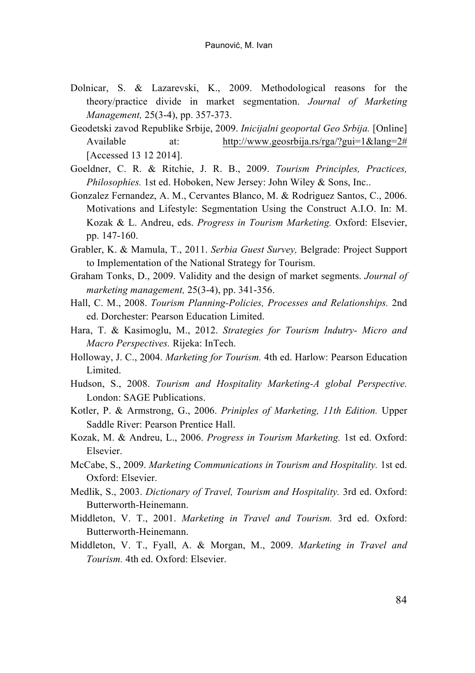- Dolnicar, S. & Lazarevski, K., 2009. Methodological reasons for the theory/practice divide in market segmentation. *Journal of Marketing Management,* 25(3-4), pp. 357-373.
- Geodetski zavod Republike Srbije, 2009. *Inicijalni geoportal Geo Srbija.* [Online] Available at: http://www.geosrbija.rs/rga/?gui=1&lang=2# [Accessed 13 12 2014].
- Goeldner, C. R. & Ritchie, J. R. B., 2009. *Tourism Principles, Practices, Philosophies.* 1st ed. Hoboken, New Jersey: John Wiley & Sons, Inc..
- Gonzalez Fernandez, A. M., Cervantes Blanco, M. & Rodriguez Santos, C., 2006. Motivations and Lifestyle: Segmentation Using the Construct A.I.O. In: M. Kozak & L. Andreu, eds. *Progress in Tourism Marketing.* Oxford: Elsevier, pp. 147-160.
- Grabler, K. & Mamula, T., 2011. *Serbia Guest Survey,* Belgrade: Project Support to Implementation of the National Strategy for Tourism.
- Graham Tonks, D., 2009. Validity and the design of market segments. *Journal of marketing management,* 25(3-4), pp. 341-356.
- Hall, C. M., 2008. *Tourism Planning-Policies, Processes and Relationships.* 2nd ed. Dorchester: Pearson Education Limited.
- Hara, T. & Kasimoglu, M., 2012. *Strategies for Tourism Indutry- Micro and Macro Perspectives.* Rijeka: InTech.
- Holloway, J. C., 2004. *Marketing for Tourism.* 4th ed. Harlow: Pearson Education Limited.
- Hudson, S., 2008. *Tourism and Hospitality Marketing-A global Perspective.*  London: SAGE Publications.
- Kotler, P. & Armstrong, G., 2006. *Priniples of Marketing, 11th Edition.* Upper Saddle River: Pearson Prentice Hall.
- Kozak, M. & Andreu, L., 2006. *Progress in Tourism Marketing.* 1st ed. Oxford: Elsevier.
- McCabe, S., 2009. *Marketing Communications in Tourism and Hospitality.* 1st ed. Oxford: Elsevier.
- Medlik, S., 2003. *Dictionary of Travel, Tourism and Hospitality.* 3rd ed. Oxford: Butterworth-Heinemann.
- Middleton, V. T., 2001. *Marketing in Travel and Tourism.* 3rd ed. Oxford: Butterworth-Heinemann.
- Middleton, V. T., Fyall, A. & Morgan, M., 2009. *Marketing in Travel and Tourism.* 4th ed. Oxford: Elsevier.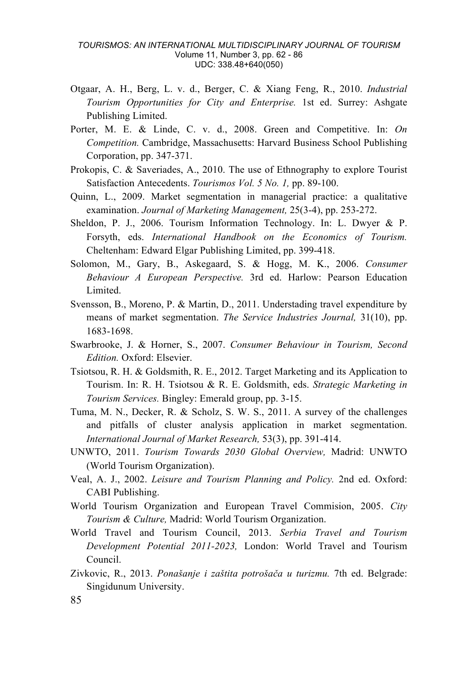- Otgaar, A. H., Berg, L. v. d., Berger, C. & Xiang Feng, R., 2010. *Industrial Tourism Opportunities for City and Enterprise.* 1st ed. Surrey: Ashgate Publishing Limited.
- Porter, M. E. & Linde, C. v. d., 2008. Green and Competitive. In: *On Competition.* Cambridge, Massachusetts: Harvard Business School Publishing Corporation, pp. 347-371.
- Prokopis, C. & Saveriades, A., 2010. The use of Ethnography to explore Tourist Satisfaction Antecedents. *Tourismos Vol. 5 No. 1,* pp. 89-100.
- Quinn, L., 2009. Market segmentation in managerial practice: a qualitative examination. *Journal of Marketing Management,* 25(3-4), pp. 253-272.
- Sheldon, P. J., 2006. Tourism Information Technology. In: L. Dwyer & P. Forsyth, eds. *International Handbook on the Economics of Tourism.*  Cheltenham: Edward Elgar Publishing Limited, pp. 399-418.
- Solomon, M., Gary, B., Askegaard, S. & Hogg, M. K., 2006. *Consumer Behaviour A European Perspective.* 3rd ed. Harlow: Pearson Education Limited.
- Svensson, B., Moreno, P. & Martin, D., 2011. Understading travel expenditure by means of market segmentation. *The Service Industries Journal,* 31(10), pp. 1683-1698.
- Swarbrooke, J. & Horner, S., 2007. *Consumer Behaviour in Tourism, Second Edition.* Oxford: Elsevier.
- Tsiotsou, R. H. & Goldsmith, R. E., 2012. Target Marketing and its Application to Tourism. In: R. H. Tsiotsou & R. E. Goldsmith, eds. *Strategic Marketing in Tourism Services.* Bingley: Emerald group, pp. 3-15.
- Tuma, M. N., Decker, R. & Scholz, S. W. S., 2011. A survey of the challenges and pitfalls of cluster analysis application in market segmentation. *International Journal of Market Research,* 53(3), pp. 391-414.
- UNWTO, 2011. *Tourism Towards 2030 Global Overview,* Madrid: UNWTO (World Tourism Organization).
- Veal, A. J., 2002. *Leisure and Tourism Planning and Policy.* 2nd ed. Oxford: CABI Publishing.
- World Tourism Organization and European Travel Commision, 2005. *City Tourism & Culture,* Madrid: World Tourism Organization.
- World Travel and Tourism Council, 2013. *Serbia Travel and Tourism Development Potential 2011-2023,* London: World Travel and Tourism Council.
- Zivkovic, R., 2013. *Ponašanje i zaštita potrošača u turizmu.* 7th ed. Belgrade: Singidunum University.